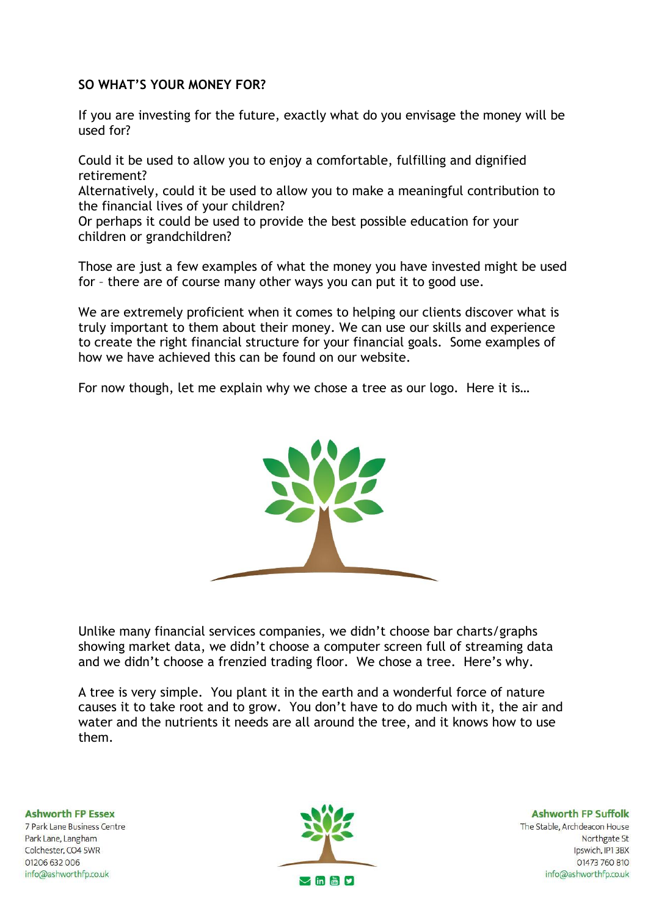## **SO WHAT'S YOUR MONEY FOR?**

If you are investing for the future, exactly what do you envisage the money will be used for?

Could it be used to allow you to enjoy a comfortable, fulfilling and dignified retirement?

Alternatively, could it be used to allow you to make a meaningful contribution to the financial lives of your children?

Or perhaps it could be used to provide the best possible education for your children or grandchildren?

Those are just a few examples of what the money you have invested might be used for – there are of course many other ways you can put it to good use.

We are extremely proficient when it comes to helping our clients discover what is truly important to them about their money. We can use our skills and experience to create the right financial structure for your financial goals. Some examples of how we have achieved this can be found on our website.

For now though, let me explain why we chose a tree as our logo. Here it is…



Unlike many financial services companies, we didn't choose bar charts/graphs showing market data, we didn't choose a computer screen full of streaming data and we didn't choose a frenzied trading floor. We chose a tree. Here's why.

A tree is very simple. You plant it in the earth and a wonderful force of nature causes it to take root and to grow. You don't have to do much with it, the air and water and the nutrients it needs are all around the tree, and it knows how to use them.

**Ashworth FP Essex** 7 Park Lane Business Centre Park Lane, Langham Colchester, CO4 5WR 01206 632 006 info@ashworthfp.co.uk



**Ashworth FP Suffolk** The Stable, Archdeacon House Northgate St Ipswich, IP1 3BX 01473 760 810 info@ashworthfp.co.uk